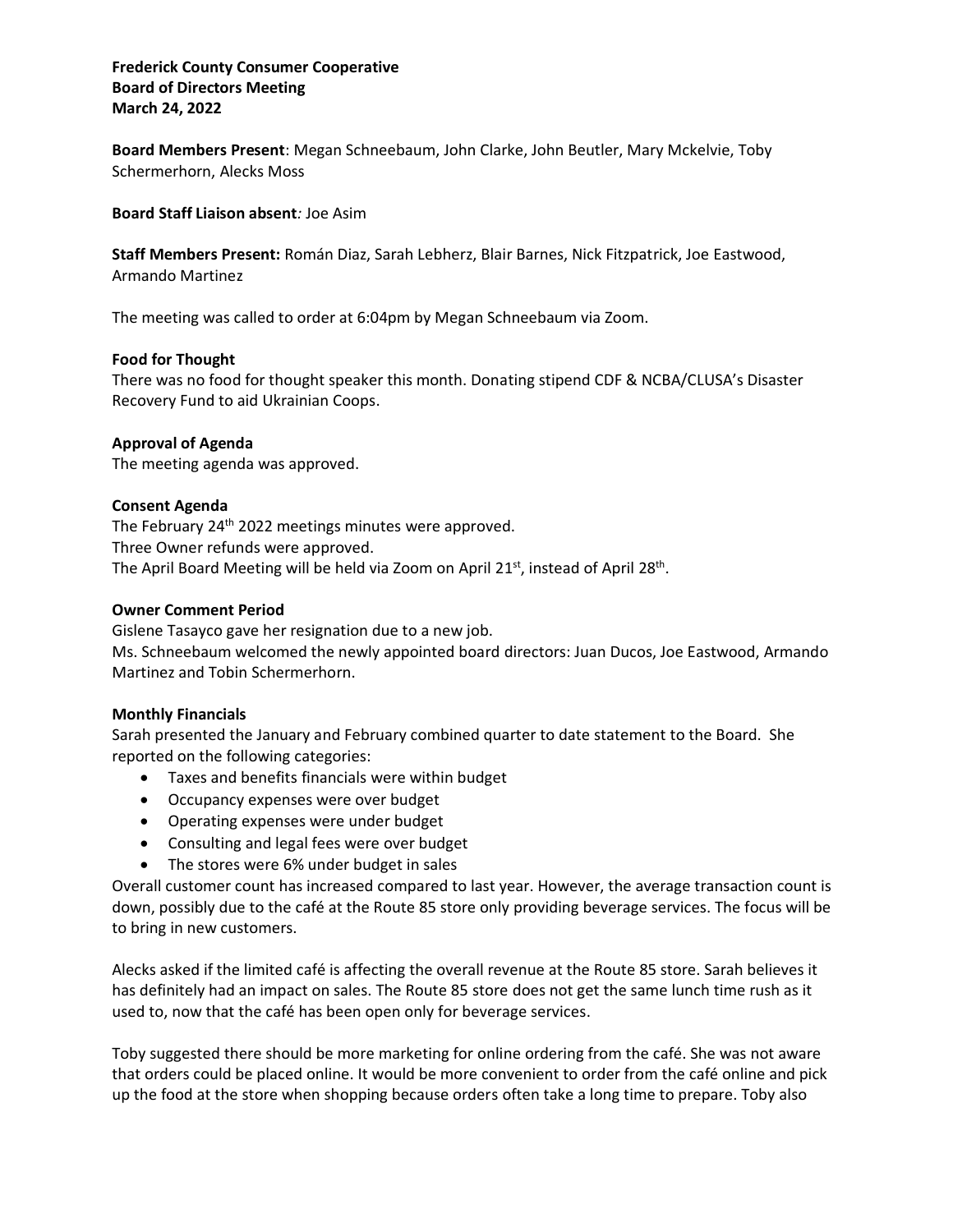## **Frederick County Consumer Cooperative Board of Directors Meeting March 24, 2022**

**Board Members Present**: Megan Schneebaum, John Clarke, John Beutler, Mary Mckelvie, Toby Schermerhorn, Alecks Moss

**Board Staff Liaison absent***:* Joe Asim

**Staff Members Present:** Román Diaz, Sarah Lebherz, Blair Barnes, Nick Fitzpatrick, Joe Eastwood, Armando Martinez

The meeting was called to order at 6:04pm by Megan Schneebaum via Zoom.

#### **Food for Thought**

There was no food for thought speaker this month. Donating stipend CDF & NCBA/CLUSA's Disaster Recovery Fund to aid Ukrainian Coops.

## **Approval of Agenda**

The meeting agenda was approved.

#### **Consent Agenda**

The February 24<sup>th</sup> 2022 meetings minutes were approved. Three Owner refunds were approved. The April Board Meeting will be held via Zoom on April 21st, instead of April 28<sup>th</sup>.

#### **Owner Comment Period**

Gislene Tasayco gave her resignation due to a new job.

Ms. Schneebaum welcomed the newly appointed board directors: Juan Ducos, Joe Eastwood, Armando Martinez and Tobin Schermerhorn.

#### **Monthly Financials**

Sarah presented the January and February combined quarter to date statement to the Board. She reported on the following categories:

- Taxes and benefits financials were within budget
- Occupancy expenses were over budget
- Operating expenses were under budget
- Consulting and legal fees were over budget
- The stores were 6% under budget in sales

Overall customer count has increased compared to last year. However, the average transaction count is down, possibly due to the café at the Route 85 store only providing beverage services. The focus will be to bring in new customers.

Alecks asked if the limited café is affecting the overall revenue at the Route 85 store. Sarah believes it has definitely had an impact on sales. The Route 85 store does not get the same lunch time rush as it used to, now that the café has been open only for beverage services.

Toby suggested there should be more marketing for online ordering from the café. She was not aware that orders could be placed online. It would be more convenient to order from the café online and pick up the food at the store when shopping because orders often take a long time to prepare. Toby also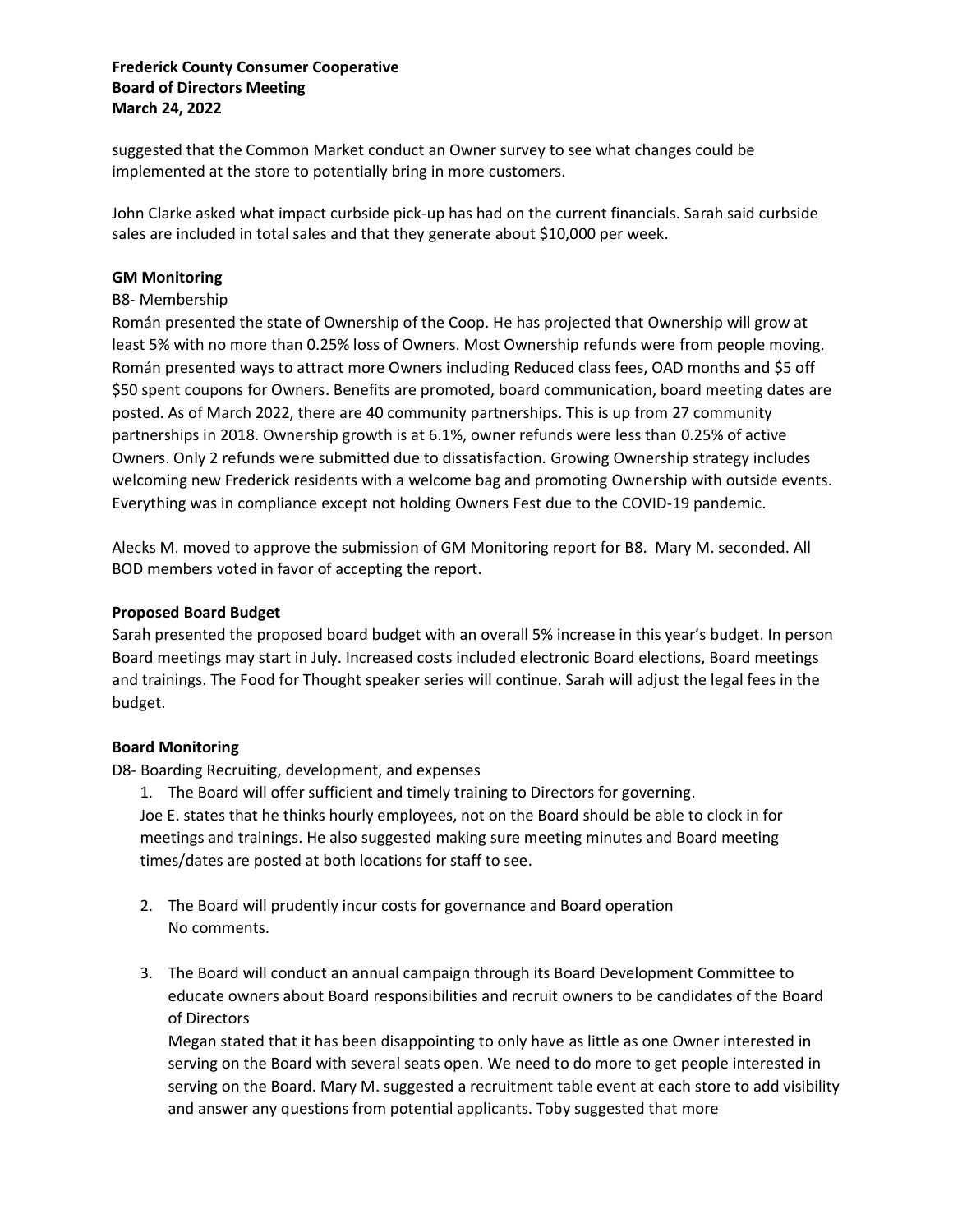## **Frederick County Consumer Cooperative Board of Directors Meeting March 24, 2022**

suggested that the Common Market conduct an Owner survey to see what changes could be implemented at the store to potentially bring in more customers.

John Clarke asked what impact curbside pick-up has had on the current financials. Sarah said curbside sales are included in total sales and that they generate about \$10,000 per week.

#### **GM Monitoring**

## B8- Membership

Román presented the state of Ownership of the Coop. He has projected that Ownership will grow at least 5% with no more than 0.25% loss of Owners. Most Ownership refunds were from people moving. Román presented ways to attract more Owners including Reduced class fees, OAD months and \$5 off \$50 spent coupons for Owners. Benefits are promoted, board communication, board meeting dates are posted. As of March 2022, there are 40 community partnerships. This is up from 27 community partnerships in 2018. Ownership growth is at 6.1%, owner refunds were less than 0.25% of active Owners. Only 2 refunds were submitted due to dissatisfaction. Growing Ownership strategy includes welcoming new Frederick residents with a welcome bag and promoting Ownership with outside events. Everything was in compliance except not holding Owners Fest due to the COVID-19 pandemic.

Alecks M. moved to approve the submission of GM Monitoring report for B8. Mary M. seconded. All BOD members voted in favor of accepting the report.

## **Proposed Board Budget**

Sarah presented the proposed board budget with an overall 5% increase in this year's budget. In person Board meetings may start in July. Increased costs included electronic Board elections, Board meetings and trainings. The Food for Thought speaker series will continue. Sarah will adjust the legal fees in the budget.

#### **Board Monitoring**

D8- Boarding Recruiting, development, and expenses

1. The Board will offer sufficient and timely training to Directors for governing. Joe E. states that he thinks hourly employees, not on the Board should be able to clock in for meetings and trainings. He also suggested making sure meeting minutes and Board meeting times/dates are posted at both locations for staff to see.

- 2. The Board will prudently incur costs for governance and Board operation No comments.
- 3. The Board will conduct an annual campaign through its Board Development Committee to educate owners about Board responsibilities and recruit owners to be candidates of the Board of Directors

Megan stated that it has been disappointing to only have as little as one Owner interested in serving on the Board with several seats open. We need to do more to get people interested in serving on the Board. Mary M. suggested a recruitment table event at each store to add visibility and answer any questions from potential applicants. Toby suggested that more